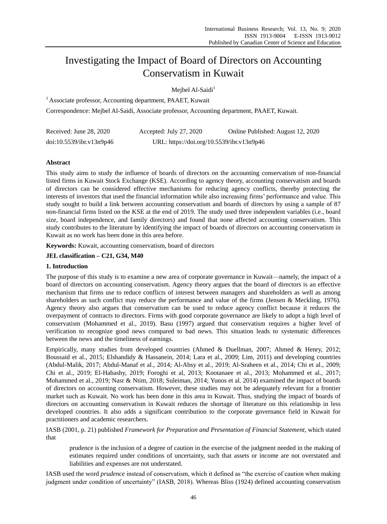# Investigating the Impact of Board of Directors on Accounting Conservatism in Kuwait

Meibel Al-Saidi $<sup>1</sup>$ </sup>

<sup>1</sup> Associate professor, Accounting department, PAAET, Kuwait

Correspondence: Mejbel Al-Saidi, Associate professor, Accounting department, PAAET, Kuwait.

| Received: June 28, 2020  | Accepted: July 27, 2020                   | Online Published: August 12, 2020 |
|--------------------------|-------------------------------------------|-----------------------------------|
| doi:10.5539/ibr.v13n9p46 | URL: https://doi.org/10.5539/ibr.v13n9p46 |                                   |

# **Abstract**

This study aims to study the influence of boards of directors on the accounting conservatism of non-financial listed firms in Kuwait Stock Exchange (KSE). According to agency theory, accounting conservatism and boards of directors can be considered effective mechanisms for reducing agency conflicts, thereby protecting the interests of investors that used the financial information while also increasing firms' performance and value. This study sought to build a link between accounting conservatism and boards of directors by using a sample of 87 non-financial firms listed on the KSE at the end of 2019. The study used three independent variables (i.e., board size, board independence, and family directors) and found that none affected accounting conservatism. This study contributes to the literature by identifying the impact of boards of directors on accounting conservatism in Kuwait as no work has been done in this area before.

**Keywords:** Kuwait, accounting conservatism, board of directors

**JEL classification – C21, G34, M40**

# **1. Introduction**

The purpose of this study is to examine a new area of corporate governance in Kuwait—namely, the impact of a board of directors on accounting conservatism. Agency theory argues that the board of directors is an effective mechanism that firms use to reduce conflicts of interest between managers and shareholders as well as among shareholders as such conflict may reduce the performance and value of the firms (Jensen & Meckling, 1976). Agency theory also argues that conservatism can be used to reduce agency conflict because it reduces the overpayment of contracts to directors. Firms with good corporate governance are likely to adopt a high level of conservatism (Mohammed et al., 2019). Basu (1997) argued that conservatism requires a higher level of verification to recognize good news compared to bad news. This situation leads to systematic differences between the news and the timeliness of earnings.

Empirically, many studies from developed countries (Ahmed & Duellman, 2007; Ahmed & Henry, 2012; Boussaid et al., 2015; Elshandidy & Hassanein, 2014; Lara et al., 2009; Lim, 2011) and developing countries (Abdul-Malik, 2017; Abdul-Manaf et al., 2014; Al-Absy et al., 2019; Al-Sraheen et al., 2014; Chi et al., 2009; Chi et al., 2019; El-Habashy, 2019; Foroghi et al, 2013; Kootanaee et al., 2013; Mohammed et al., 2017; Mohammed et al., 2019; Nasr & Ntim, 2018; Suleiman, 2014; Yunos et al. 2014) examined the impact of boards of directors on accounting conservatism. However, these studies may not be adequately relevant for a frontier market such as Kuwait. No work has been done in this area in Kuwait. Thus, studying the impact of boards of directors on accounting conservatism in Kuwait reduces the shortage of literature on this relationship in less developed countries. It also adds a significant contribution to the corporate governance field in Kuwait for practitioners and academic researchers.

IASB (2001, p. 21) published *Framework for Preparation and Presentation of Financial Statement*, which stated that

prudence is the inclusion of a degree of caution in the exercise of the judgment needed in the making of estimates required under conditions of uncertainty, such that assets or income are not overstated and liabilities and expenses are not understated.

IASB used the word *prudence* instead of conservatism, which it defined as "the exercise of caution when making judgment under condition of uncertainty" (IASB, 2018). Whereas Bliss (1924) defined accounting conservatism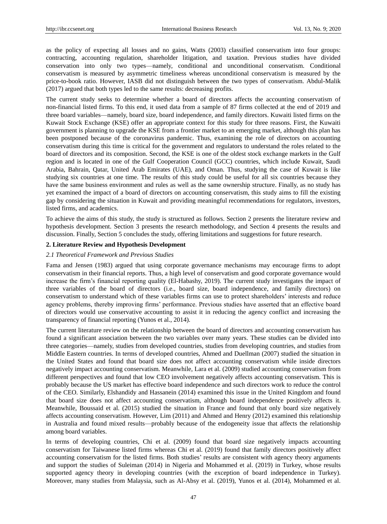as the policy of expecting all losses and no gains, Watts (2003) classified conservatism into four groups: contracting, accounting regulation, shareholder litigation, and taxation. Previous studies have divided conservation into only two types—namely, conditional and unconditional conservatism. Conditional conservatism is measured by asymmetric timeliness whereas unconditional conservatism is measured by the price-to-book ratio. However, IASB did not distinguish between the two types of conservatism. Abdul-Malik (2017) argued that both types led to the same results: decreasing profits.

The current study seeks to determine whether a board of directors affects the accounting conservatism of non-financial listed firms. To this end, it used data from a sample of 87 firms collected at the end of 2019 and three board variables—namely, board size, board independence, and family directors. Kuwaiti listed firms on the Kuwait Stock Exchange (KSE) offer an appropriate context for this study for three reasons. First, the Kuwaiti government is planning to upgrade the KSE from a frontier market to an emerging market, although this plan has been postponed because of the coronavirus pandemic. Thus, examining the role of directors on accounting conservatism during this time is critical for the government and regulators to understand the roles related to the board of directors and its composition. Second, the KSE is one of the oldest stock exchange markets in the Gulf region and is located in one of the Gulf Cooperation Council (GCC) countries, which include Kuwait, Saudi Arabia, Bahrain, Qatar, United Arab Emirates (UAE), and Oman. Thus, studying the case of Kuwait is like studying six countries at one time. The results of this study could be useful for all six countries because they have the same business environment and rules as well as the same ownership structure. Finally, as no study has yet examined the impact of a board of directors on accounting conservatism, this study aims to fill the existing gap by considering the situation in Kuwait and providing meaningful recommendations for regulators, investors, listed firms, and academics.

To achieve the aims of this study, the study is structured as follows. Section 2 presents the literature review and hypothesis development. Section 3 presents the research methodology, and Section 4 presents the results and discussion. Finally, Section 5 concludes the study, offering limitations and suggestions for future research.

## **2. Literature Review and Hypothesis Development**

## *2.1 Theoretical Framework and Previous Studies*

Fama and Jensen (1983) argued that using corporate governance mechanisms may encourage firms to adopt conservatism in their financial reports. Thus, a high level of conservatism and good corporate governance would increase the firm's financial reporting quality (El-Habashy, 2019). The current study investigates the impact of three variables of the board of directors (i.e., board size, board independence, and family directors) on conservatism to understand which of these variables firms can use to protect shareholders' interests and reduce agency problems, thereby improving firms' performance. Previous studies have asserted that an effective board of directors would use conservative accounting to assist it in reducing the agency conflict and increasing the transparency of financial reporting (Yunos et al., 2014).

The current literature review on the relationship between the board of directors and accounting conservatism has found a significant association between the two variables over many years. These studies can be divided into three categories—namely, studies from developed countries, studies from developing countries, and studies from Middle Eastern countries. In terms of developed countries, Ahmed and Duellman (2007) studied the situation in the United States and found that board size does not affect accounting conservatism while inside directors negatively impact accounting conservatism. Meanwhile, Lara et al. (2009) studied accounting conservatism from different perspectives and found that low CEO involvement negatively affects accounting conservatism. This is probably because the US market has effective board independence and such directors work to reduce the control of the CEO. Similarly, Elshandidy and Hassanein (2014) examined this issue in the United Kingdom and found that board size does not affect accounting conservatism, although board independence positively affects it. Meanwhile, Boussaid et al. (2015) studied the situation in France and found that only board size negatively affects accounting conservatism. However, Lim (2011) and Ahmed and Henry (2012) examined this relationship in Australia and found mixed results—probably because of the endogeneity issue that affects the relationship among board variables.

In terms of developing countries, Chi et al. (2009) found that board size negatively impacts accounting conservatism for Taiwanese listed firms whereas Chi et al. (2019) found that family directors positively affect accounting conservatism for the listed firms. Both studies' results are consistent with agency theory arguments and support the studies of Suleiman (2014) in Nigeria and Mohammed et al. (2019) in Turkey, whose results supported agency theory in developing countries (with the exception of board independence in Turkey). Moreover, many studies from Malaysia, such as Al-Absy et al. (2019), Yunos et al. (2014), Mohammed et al.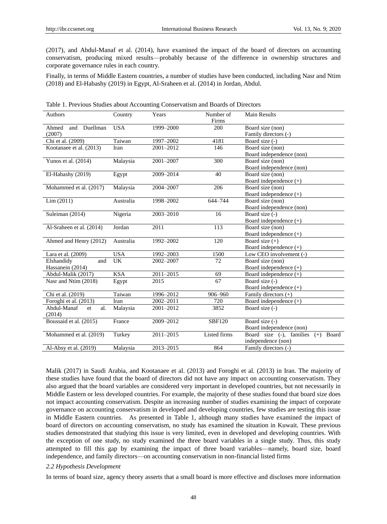(2017), and Abdul-Manaf et al. (2014), have examined the impact of the board of directors on accounting conservatism, producing mixed results—probably because of the difference in ownership structures and corporate governance rules in each country.

Finally, in terms of Middle Eastern countries, a number of studies have been conducted, including Nasr and Ntim (2018) and El-Habashy (2019) in Egypt, Al-Sraheen et al. (2014) in Jordan, Abdul.

| Authors                  | Country    | Years         | Number of<br>Firms | <b>Main Results</b>                        |  |
|--------------------------|------------|---------------|--------------------|--------------------------------------------|--|
| and Duellman<br>Ahmed    | <b>USA</b> | 1999-2000     | 200                | Board size (non)                           |  |
| (2007)                   |            |               |                    | Family directors (-)                       |  |
| Chi et al. (2009)        | Taiwan     | 1997-2002     | 4181               | Board size (-)                             |  |
| Kootanaee et al. (2013)  | Iran       | 2001-2012     | 146                | Board size (non)                           |  |
|                          |            |               |                    | Board independence (non)                   |  |
| Yunos et al. (2014)      | Malaysia   | 2001-2007     | 300                | Board size (non)                           |  |
|                          |            |               |                    | Board independence (non)                   |  |
| El-Habashy (2019)        | Egypt      | 2009-2014     | 40                 | Board size (non)                           |  |
|                          |            |               |                    | Board independence (+)                     |  |
| Mohammed et al. (2017)   | Malaysia   | $2004 - 2007$ | 206                | Board size (non)                           |  |
|                          |            |               |                    | Board independence (+)                     |  |
| Lim (2011)               | Australia  | 1998-2002     | 644-744            | Board size (non)                           |  |
|                          |            |               |                    | Board independence (non)                   |  |
| Suleiman (2014)          | Nigeria    | 2003-2010     | 16                 | Board size (-)                             |  |
|                          |            |               |                    | Board independence (+)                     |  |
| Al-Sraheen et al. (2014) | Jordan     | 2011          | 113                | Board size (non)                           |  |
|                          |            |               |                    | Board independence $(+)$                   |  |
| Ahmed and Henry (2012)   | Australia  | 1992-2002     | 120                | Board size $(+)$                           |  |
|                          |            |               |                    | Board independence (+)                     |  |
| Lara et al. (2009)       | <b>USA</b> | 1992-2003     | 1500               | Low CEO involvement (-)                    |  |
| Elshandidy<br>and        | <b>UK</b>  | 2002-2007     | 72                 | Board size (non)                           |  |
| Hassanein (2014)         |            |               |                    | Board independence $(+)$                   |  |
| Abdul-Malik (2017)       | <b>KSA</b> | 2011-2015     | 69                 | Board independence $(+)$                   |  |
| Nasr and Ntim (2018)     | Egypt      | 2015          | 67                 | Board size (-)                             |  |
|                          |            |               |                    | Board independence (+)                     |  |
| Chi et al. (2019)        | Taiwan     | 1996-2012     | 906-960            | Family directors $(+)$                     |  |
| Foroghi et al. (2013)    | Iran       | 2002-2011     | 720                | Board independence $(+)$                   |  |
| Abdul-Manaf<br>al.<br>et | Malaysia   | 2001-2012     | 3852               | Board size (-)                             |  |
| (2014)                   |            |               |                    |                                            |  |
| Boussaid et al. (2015)   | France     | 2009-2012     | <b>SBF120</b>      | Board size (-)                             |  |
|                          |            |               |                    | Board independence (non)                   |  |
| Mohammed et al. (2019)   | Turkey     | 2011-2015     | Listed firms       | Board size $(-)$ , families $(+)$<br>Board |  |
|                          |            |               |                    | independence (non)                         |  |
| Al-Absy et al. (2019)    | Malaysia   | 2013-2015     | 864                | Family directors (-)                       |  |

Table 1. Previous Studies about Accounting Conservatism and Boards of Directors

Malik (2017) in Saudi Arabia, and Kootanaee et al. (2013) and Foroghi et al. (2013) in Iran. The majority of these studies have found that the board of directors did not have any impact on accounting conservatism. They also argued that the board variables are considered very important in developed countries, but not necessarily in Middle Eastern or less developed countries. For example, the majority of these studies found that board size does not impact accounting conservatism. Despite an increasing number of studies examining the impact of corporate governance on accounting conservatism in developed and developing countries, few studies are testing this issue in Middle Eastern countries. As presented in Table 1, although many studies have examined the impact of board of directors on accounting conservatism, no study has examined the situation in Kuwait. These previous studies demonstrated that studying this issue is very limited, even in developed and developing countries. With the exception of one study, no study examined the three board variables in a single study. Thus, this study attempted to fill this gap by examining the impact of three board variables—namely, board size, board independence, and family directors—on accounting conservatism in non-financial listed firms

#### *2.2 Hypothesis Development*

In terms of board size, agency theory asserts that a small board is more effective and discloses more information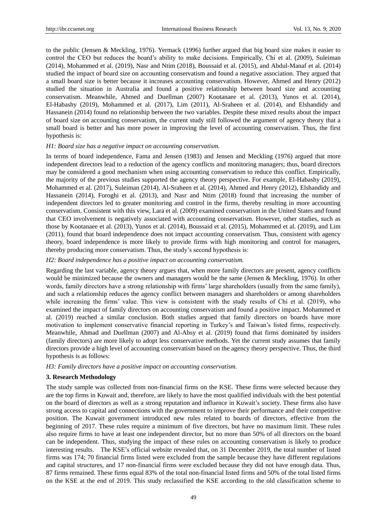to the public (Jensen & Meckling, 1976). Yermack (1996) further argued that big board size makes it easier to control the CEO but reduces the board's ability to make decisions. Empirically, Chi et al. (2009), Suleiman (2014), Mohammed et al. (2019), Nasr and Ntim (2018), Boussaid et al. (2015), and Abdul-Manaf et al. (2014) studied the impact of board size on accounting conservatism and found a negative association. They argued that a small board size is better because it increases accounting conservatism. However, Ahmed and Henry (2012) studied the situation in Australia and found a positive relationship between board size and accounting conservatism. Meanwhile, Ahmed and Duellman (2007) Kootanaee et al. (2013), Yunos et al. (2014), El-Habashy (2019), Mohammed et al. (2017), Lim (2011), Al-Sraheen et al. (2014), and Elshandidy and Hassanein (2014) found no relationship between the two variables. Despite these mixed results about the impact of board size on accounting conservatism, the current study still followed the argument of agency theory that a small board is better and has more power in improving the level of accounting conservatism. Thus, the first hypothesis is:

#### *H1: Board size has a negative impact on accounting conservatism.*

In terms of board independence, Fama and Jensen (1983) and Jensen and Meckling (1976) argued that more independent directors lead to a reduction of the agency conflicts and monitoring managers; thus, board directors may be considered a good mechanism when using accounting conservatism to reduce this conflict. Empirically, the majority of the previous studies supported the agency theory perspective. For example, El-Habashy (2019), Mohammed et al. (2017), Suleiman (2014), Al-Sraheen et al. (2014), Ahmed and Henry (2012), Elshandidy and Hassanein (2014), Foroghi et al. (2013), and Nasr and Ntim (2018) found that increasing the number of independent directors led to greater monitoring and control in the firms, thereby resulting in more accounting conservatism. Consistent with this view, Lara et al. (2009) examined conservatism in the United States and found that CEO involvement is negatively associated with accounting conservatism. However, other studies, such as those by Kootanaee et al. (2013), Yunos et al. (2014), Boussaid et al. (2015), Mohammed et al. (2019), and Lim (2011), found that board independence does not impact accounting conservatism. Thus, consistent with agency theory, board independence is more likely to provide firms with high monitoring and control for managers, thereby producing more conservatism. Thus, the study's second hypothesis is:

## *H2: Board independence has a positive impact on accounting conservatism.*

Regarding the last variable, agency theory argues that, when more family directors are present, agency conflicts would be minimized because the owners and managers would be the same (Jensen & Meckling, 1976). In other words, family directors have a strong relationship with firms' large shareholders (usually from the same family), and such a relationship reduces the agency conflict between managers and shareholders or among shareholders while increasing the firms' value. This view is consistent with the study results of Chi et al. (2019), who examined the impact of family directors on accounting conservatism and found a positive impact. Mohammed et al. (2019) reached a similar conclusion. Both studies argued that family directors on boards have more motivation to implement conservative financial reporting in Turkey's and Taiwan's listed firms, respectively. Meanwhile, Ahmad and Duellman (2007) and Al-Absy et al. (2019) found that firms dominated by insiders (family directors) are more likely to adopt less conservative methods. Yet the current study assumes that family directors provide a high level of accounting conservatism based on the agency theory perspective. Thus, the third hypothesis is as follows:

*H3: Family directors have a positive impact on accounting conservatism.* 

### **3. Research Methodology**

The study sample was collected from non-financial firms on the KSE. These firms were selected because they are the top firms in Kuwait and, therefore, are likely to have the most qualified individuals with the best potential on the board of directors as well as a strong reputation and influence in Kuwait's society. These firms also have strong access to capital and connections with the government to improve their performance and their competitive position. The Kuwait government introduced new rules related to boards of directors, effective from the beginning of 2017. These rules require a minimum of five directors, but have no maximum limit. These rules also require firms to have at least one independent director, but no more than 50% of all directors on the board can be independent. Thus, studying the impact of these rules on accounting conservatism is likely to produce interesting results. The KSE's official website revealed that, on 31 December 2019, the total number of listed firms was 174; 70 financial firms listed were excluded from the sample because they have different regulations and capital structures, and 17 non-financial firms were excluded because they did not have enough data. Thus, 87 firms remained. These firms equal 83% of the total non-financial listed firms and 50% of the total listed firms on the KSE at the end of 2019. This study reclassified the KSE according to the old classification scheme to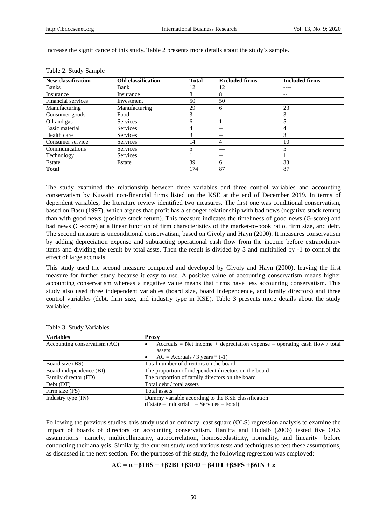increase the significance of this study. Table 2 presents more details about the study's sample.

| <b>New classification</b> | <b>Old</b> classification | <b>Total</b> | <b>Excluded firms</b>    | <b>Included firms</b> |
|---------------------------|---------------------------|--------------|--------------------------|-----------------------|
| <b>Banks</b>              | Bank                      | 12           | 12                       |                       |
| Insurance                 | Insurance                 | 8            | 8                        | --                    |
| Financial services        | Investment                | 50           | 50                       |                       |
| Manufacturing             | Manufacturing             | 29           | 6                        | 23                    |
| Consumer goods            | Food                      | 3            | $\overline{\phantom{m}}$ | 3                     |
| Oil and gas               | Services                  | <sub>(</sub> |                          |                       |
| Basic material            | Services                  | 4            | $\qquad \qquad -$        | 4                     |
| Health care               | Services                  |              | $- -$                    | 3                     |
| Consumer service          | <b>Services</b>           | 14           | 4                        | 10                    |
| Communications            | <b>Services</b>           |              | $---$                    |                       |
| Technology                | Services                  |              | $\qquad \qquad -$        |                       |
| Estate                    | Estate                    | 39           | 6                        | 33                    |
| <b>Total</b>              |                           | 174          | 87                       | 87                    |

Table 2. Study Sample

The study examined the relationship between three variables and three control variables and accounting conservatism by Kuwaiti non-financial firms listed on the KSE at the end of December 2019. In terms of dependent variables, the literature review identified two measures. The first one was conditional conservatism, based on Basu (1997), which argues that profit has a stronger relationship with bad news (negative stock return) than with good news (positive stock return). This measure indicates the timeliness of good news (G-score) and bad news (C-score) at a linear function of firm characteristics of the market-to-book ratio, firm size, and debt. The second measure is unconditional conservatism, based on Givoly and Hayn (2000). It measures conservatism by adding depreciation expense and subtracting operational cash flow from the income before extraordinary items and dividing the result by total assts. Then the result is divided by 3 and multiplied by -1 to control the effect of large accruals.

This study used the second measure computed and developed by Givoly and Hayn (2000), leaving the first measure for further study because it easy to use. A positive value of accounting conservatism means higher accounting conservatism whereas a negative value means that firms have less accounting conservatism. This study also used three independent variables (board size, board independence, and family directors) and three control variables (debt, firm size, and industry type in KSE). Table 3 presents more details about the study variables.

| <b>Variables</b>             | <b>Proxy</b>                                                               |  |  |
|------------------------------|----------------------------------------------------------------------------|--|--|
| Accounting conservatism (AC) | Accruals = Net income + depreciation expense – operating cash flow / total |  |  |
|                              | assets                                                                     |  |  |
|                              | $AC = Accruals / 3 years * (-1)$<br>$\bullet$                              |  |  |
| Board size (BS)              | Total number of directors on the board                                     |  |  |
| Board independence (BI)      | The proportion of independent directors on the board                       |  |  |
| Family director (FD)         | The proportion of family directors on the board                            |  |  |
| Debt (DT)                    | Total debt / total assets                                                  |  |  |
| Firm size (FS)               | Total assets                                                               |  |  |
| Industry type (IN)           | Dummy variable according to the KSE classification                         |  |  |
|                              | (Estate – Industrial – Services – Food)                                    |  |  |

Table 3. Study Variables

Following the previous studies, this study used an ordinary least square (OLS) regression analysis to examine the impact of boards of directors on accounting conservatism. Haniffa and Hudaib (2006) tested five OLS assumptions—namely, multicollinearity, autocorrelation, homoscedasticity, normality, and linearity—before conducting their analysis. Similarly, the current study used various tests and techniques to test these assumptions, as discussed in the next section. For the purposes of this study, the following regression was employed:

# **AC = α +β1BS + +β2BI +β3FD + β4DT +β5FS +β6IN + ε**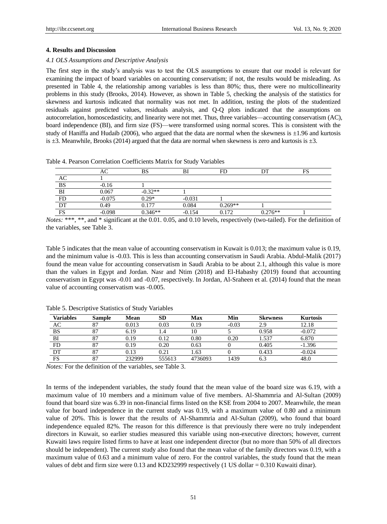### **4. Results and Discussion**

#### *4.1 OLS Assumptions and Descriptive Analysis*

The first step in the study's analysis was to test the OLS assumptions to ensure that our model is relevant for examining the impact of board variables on accounting conservatism; if not, the results would be misleading. As presented in Table 4, the relationship among variables is less than 80%; thus, there were no multicollinearity problems in this study (Brooks, 2014). However, as shown in Table 5, checking the analysis of the statistics for skewness and kurtosis indicated that normality was not met. In addition, testing the plots of the studentized residuals against predicted values, residuals analysis, and Q-Q plots indicated that the assumptions on autocorrelation, homoscedasticity, and linearity were not met. Thus, three variables—accounting conservatism (AC), board independence (BI), and firm size (FS)—were transformed using normal scores. This is consistent with the study of Haniffa and Hudaib (2006), who argued that the data are normal when the skewness is  $\pm 1.96$  and kurtosis is  $\pm 3$ . Meanwhile, Brooks (2014) argued that the data are normal when skewness is zero and kurtosis is  $\pm 3$ .

Table 4. Pearson Correlation Coefficients Matrix for Study Variables

|           | AC       | BS        | BI       | FD        |           | mс<br>F5 |
|-----------|----------|-----------|----------|-----------|-----------|----------|
| AC        |          |           |          |           |           |          |
| <b>BS</b> | $-0.16$  |           |          |           |           |          |
| BI        | 0.067    | $-0.32**$ |          |           |           |          |
| FD        | $-0.075$ | $0.29*$   | $-0.031$ |           |           |          |
| DT        | 0.49     | 0.177     | 0.084    | $0.269**$ |           |          |
| <b>FS</b> | $-0.098$ | $0.346**$ | -0.154   | 0.172     | $0.276**$ |          |

*Notes:* \*\*\*, \*\*, and \* significant at the 0.01. 0.05, and 0.10 levels, respectively (two-tailed). For the definition of the variables, see Table 3.

Table 5 indicates that the mean value of accounting conservatism in Kuwait is 0.013; the maximum value is 0.19, and the minimum value is -0.03. This is less than accounting conservatism in Saudi Arabia. Abdul-Malik (2017) found the mean value for accounting conservatism in Saudi Arabia to be about 2.1, although this value is more than the values in Egypt and Jordan. Nasr and Ntim (2018) and El-Habashy (2019) found that accounting conservatism in Egypt was -0.01 and -0.07, respectively. In Jordan, Al-Sraheen et al. (2014) found that the mean value of accounting conservatism was -0.005.

| <b>Variables</b> | <b>Sample</b> | Mean   | SD     | Max       | Min     | <b>Skewness</b> | <b>Kurtosis</b> |
|------------------|---------------|--------|--------|-----------|---------|-----------------|-----------------|
| AC               | 87            | 0.013  | 0.03   | 0.19      | $-0.03$ | 2.9             | 12.18           |
| <b>BS</b>        | 87            | 6.19   |        | 10        |         | 0.958           | $-0.072$        |
| BI               | 87            | 0.19   | 0.12   | $_{0.80}$ | 0.20    | 1.537           | 6.870           |
| FD               | 87            | 0.19   | 0.20   | 0.63      |         | 0.405           | $-1.396$        |
| DТ               | 87            | 0.13   | 0.21   | 1.63      |         | 0.433           | $-0.024$        |
| FS               | 87            | 232999 | 555613 | 4736093   | 1439    | - ہ             | 48.0            |

Table 5. Descriptive Statistics of Study Variables

*Notes:* For the definition of the variables, see Table 3.

In terms of the independent variables, the study found that the mean value of the board size was 6.19, with a maximum value of 10 members and a minimum value of five members. Al-Shammria and Al-Sultan (2009) found that board size was 6.39 in non-financial firms listed on the KSE from 2004 to 2007. Meanwhile, the mean value for board independence in the current study was 0.19, with a maximum value of 0.80 and a minimum value of 20%. This is lower that the results of Al-Shammria and Al-Sultan (2009), who found that board independence equaled 82%. The reason for this difference is that previously there were no truly independent directors in Kuwait, so earlier studies measured this variable using non-executive directors; however, current Kuwaiti laws require listed firms to have at least one independent director (but no more than 50% of all directors should be independent). The current study also found that the mean value of the family directors was 0.19, with a maximum value of 0.63 and a minimum value of zero. For the control variables, the study found that the mean values of debt and firm size were 0.13 and KD232999 respectively (1 US dollar = 0.310 Kuwaiti dinar).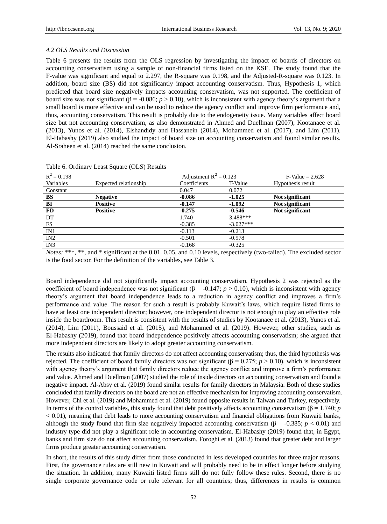## *4.2 OLS Results and Discussion*

Table 6 presents the results from the OLS regression by investigating the impact of boards of directors on accounting conservatism using a sample of non-financial firms listed on the KSE. The study found that the F-value was significant and equal to 2.297, the R-square was 0.198, and the Adjusted-R-square was 0.123. In addition, board size (BS) did not significantly impact accounting conservatism. Thus, Hypothesis 1, which predicted that board size negatively impacts accounting conservatism, was not supported. The coefficient of board size was not significant (β = -0.086;  $p > 0.10$ ), which is inconsistent with agency theory's argument that a small board is more effective and can be used to reduce the agency conflict and improve firm performance and, thus, accounting conservatism. This result is probably due to the endogeneity issue. Many variables affect board size but not accounting conservatism, as also demonstrated in Ahmed and Duellman (2007), Kootanaee et al. (2013), Yunos et al. (2014), Elshandidy and Hassanein (2014), Mohammed et al. (2017), and Lim (2011). El-Habashy (2019) also studied the impact of board size on accounting conservatism and found similar results. Al-Sraheen et al. (2014) reached the same conclusion.

| $R^2 = 0.198$  |                       | Adjustment $R^2 = 0.123$ |             | $F-Value = 2.628$ |
|----------------|-----------------------|--------------------------|-------------|-------------------|
| Variables      | Expected relationship | Coefficients             | T-Value     | Hypothesis result |
| Constant       |                       | 0.047                    | 0.072       |                   |
| BS             | <b>Negative</b>       | $-0.086$                 | $-1.025$    | Not significant   |
| B <sub>I</sub> | <b>Positive</b>       | $-0.147$                 | $-1.092$    | Not significant   |
| FD             | <b>Positive</b>       | $-0.275$                 | $-0.546$    | Not significant   |
| DT             |                       | 1.740                    | $3.488***$  |                   |
| FS             |                       | $-0.385$                 | $-3.027***$ |                   |
| IN1            |                       | $-0.113$                 | $-0.213$    |                   |
| IN2            |                       | $-0.501$                 | $-0.978$    |                   |
| IN3            |                       | $-0.168$                 | $-0.325$    |                   |

Table 6. Ordinary Least Square (OLS) Results

*Notes:* \*\*\*, \*\*, and \* significant at the 0.01. 0.05, and 0.10 levels, respectively (two-tailed). The excluded sector is the food sector. For the definition of the variables, see Table 3.

Board independence did not significantly impact accounting conservatism. Hypothesis 2 was rejected as the coefficient of board independence was not significant ( $\beta$  = -0.147; *p* > 0.10), which is inconsistent with agency theory's argument that board independence leads to a reduction in agency conflict and improves a firm's performance and value. The reason for such a result is probably Kuwait's laws, which require listed firms to have at least one independent director; however, one independent director is not enough to play an effective role inside the boardroom. This result is consistent with the results of studies by Kootanaee et al. (2013), Yunos et al. (2014), Lim (2011), Boussaid et al. (2015), and Mohammed et al. (2019). However, other studies, such as El-Habashy (2019), found that board independence positively affects accounting conservatism; she argued that more independent directors are likely to adopt greater accounting conservatism.

The results also indicated that family directors do not affect accounting conservatism; thus, the third hypothesis was rejected. The coefficient of board family directors was not significant (β = 0.275; *p* > 0.10), which is inconsistent with agency theory's argument that family directors reduce the agency conflict and improve a firm's performance and value. Ahmed and Duellman (2007) studied the role of inside directors on accounting conservatism and found a negative impact. Al-Absy et al. (2019) found similar results for family directors in Malaysia. Both of these studies concluded that family directors on the board are not an effective mechanism for improving accounting conservatism. However, Chi et al. (2019) and Mohammed et al. (2019) found opposite results in Taiwan and Turkey, respectively. In terms of the control variables, this study found that debt positively affects accounting conservatism ( $\beta$  = 1.740; *p* < 0.01), meaning that debt leads to more accounting conservatism and financial obligations from Kuwaiti banks, although the study found that firm size negatively impacted accounting conservatism ( $\beta$  = -0.385; *p* < 0.01) and industry type did not play a significant role in accounting conservatism. El-Habashy (2019) found that, in Egypt, banks and firm size do not affect accounting conservatism. Foroghi et al. (2013) found that greater debt and larger firms produce greater accounting conservatism.

In short, the results of this study differ from those conducted in less developed countries for three major reasons. First, the governance rules are still new in Kuwait and will probably need to be in effect longer before studying the situation. In addition, many Kuwaiti listed firms still do not fully follow these rules. Second, there is no single corporate governance code or rule relevant for all countries; thus, differences in results is common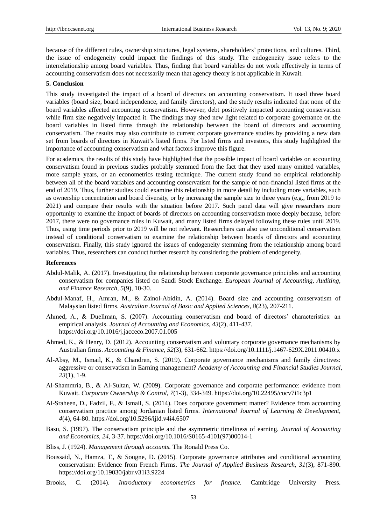because of the different rules, ownership structures, legal systems, shareholders' protections, and cultures. Third, the issue of endogeneity could impact the findings of this study. The endogeneity issue refers to the interrelationship among board variables. Thus, finding that board variables do not work effectively in terms of accounting conservatism does not necessarily mean that agency theory is not applicable in Kuwait.

#### **5. Conclusion**

This study investigated the impact of a board of directors on accounting conservatism. It used three board variables (board size, board independence, and family directors), and the study results indicated that none of the board variables affected accounting conservatism. However, debt positively impacted accounting conservatism while firm size negatively impacted it. The findings may shed new light related to corporate governance on the board variables in listed firms through the relationship between the board of directors and accounting conservatism. The results may also contribute to current corporate governance studies by providing a new data set from boards of directors in Kuwait's listed firms. For listed firms and investors, this study highlighted the importance of accounting conservatism and what factors improve this figure.

For academics, the results of this study have highlighted that the possible impact of board variables on accounting conservatism found in previous studies probably stemmed from the fact that they used many omitted variables, more sample years, or an econometrics testing technique. The current study found no empirical relationship between all of the board variables and accounting conservatism for the sample of non-financial listed firms at the end of 2019. Thus, further studies could examine this relationship in more detail by including more variables, such as ownership concentration and board diversity, or by increasing the sample size to three years (e.g., from 2019 to 2021) and compare their results with the situation before 2017. Such panel data will give researchers more opportunity to examine the impact of boards of directors on accounting conservatism more deeply because, before 2017, there were no governance rules in Kuwait, and many listed firms delayed following these rules until 2019. Thus, using time periods prior to 2019 will be not relevant. Researchers can also use unconditional conservatism instead of conditional conservatism to examine the relationship between boards of directors and accounting conservatism. Finally, this study ignored the issues of endogeneity stemming from the relationship among board variables. Thus, researchers can conduct further research by considering the problem of endogeneity.

#### **References**

- Abdul-Malik, A. (2017). Investigating the relationship between corporate governance principles and accounting conservatism for companies listed on Saudi Stock Exchange. *European Journal of Accounting, Auditing, and Finance Research, 5*(9), 10-30.
- Abdul-Manaf, H., Amran, M., & Zainol-Abidin, A. (2014). Board size and accounting conservatism of Malaysian listed firms. *Australian Journal of Basic and Applied Sciences, 8*(23), 207-211.
- Ahmed, A., & Duellman, S. (2007). Accounting conservatism and board of directors' characteristics: an empirical analysis. *Journal of Accounting and Economics, 43*(2), 411-437. https://doi.org/10.1016/j.jacceco.2007.01.005
- Ahmed, K., & Henry, D. (2012). Accounting conservatism and voluntary corporate governance mechanisms by Australian firms. *Accounting & Finance, 52*(3), 631-662. https://doi.org/10.1111/j.1467-629X.2011.00410.x
- Al-Absy, M., Ismail, K., & Chandren, S. (2019). Corporate governance mechanisms and family directives: aggressive or conservatism in Earning management? *Academy of Accounting and Financial Studies Journal, 23*(1), 1-9.
- Al-Shammria, B., & Al-Sultan, W. (2009). Corporate governance and corporate performance: evidence from Kuwait. *Corporate Ownership & Control, 7*(1-3), 334-349. https://doi.org/10.22495/cocv7i1c3p1
- Al-Sraheen, D., Fadzil, F., & Ismail, S. (2014). Does corporate government matter? Evidence from accounting conservatism practice among Jordanian listed firms. *International Journal of Learning & Development, 4*(4), 64-80. https://doi.org/10.5296/ijld.v4i4.6507
- Basu, S. (1997). The conservatism principle and the asymmetric timeliness of earning. *Journal of Accounting and Economics, 24*, 3-37. https://doi.org/10.1016/S0165-4101(97)00014-1
- Bliss, J. (1924). *Management through accounts.* The Ronald Press Co.
- Boussaid, N., Hamza, T., & Sougne, D. (2015). Corporate governance attributes and conditional accounting conservatism: Evidence from French Firms. *The Journal of Applied Business Research, 31*(3), 871-890. https://doi.org/10.19030/jabr.v31i3.9224
- Brooks, C. (2014). *Introductory econometrics for finance.* Cambridge University Press.